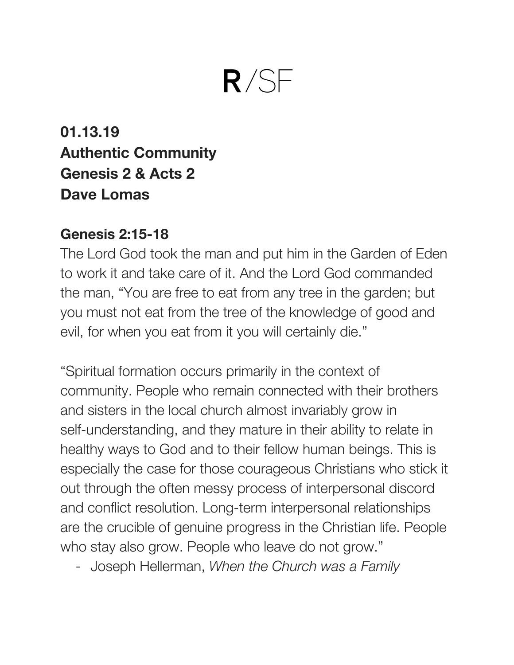# $R/SF$

**01.13.19 Authentic Community Genesis 2 & Acts 2 Dave Lomas**

#### **Genesis 2:15-18**

The Lord God took the man and put him in the Garden of Eden to work it and take care of it. And the Lord God commanded the man, "You are free to eat from any tree in the garden; but you must not eat from the tree of the knowledge of good and evil, for when you eat from it you will certainly die."

"Spiritual formation occurs primarily in the context of community. People who remain connected with their brothers and sisters in the local church almost invariably grow in self-understanding, and they mature in their ability to relate in healthy ways to God and to their fellow human beings. This is especially the case for those courageous Christians who stick it out through the often messy process of interpersonal discord and conflict resolution. Long-term interpersonal relationships are the crucible of genuine progress in the Christian life. People who stay also grow. People who leave do not grow."

- Joseph Hellerman, *When the Church was a Family*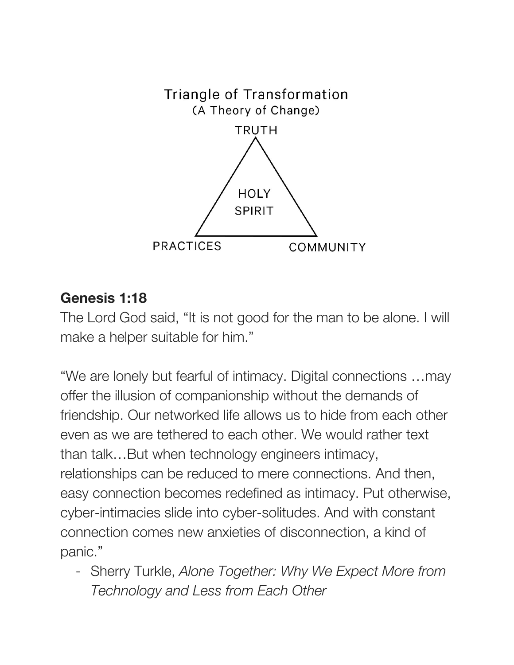

#### **Genesis 1:18**

The Lord God said, "It is not good for the man to be alone. I will make a helper suitable for him."

"We are lonely but fearful of intimacy. Digital connections …may offer the illusion of companionship without the demands of friendship. Our networked life allows us to hide from each other even as we are tethered to each other. We would rather text than talk…But when technology engineers intimacy, relationships can be reduced to mere connections. And then, easy connection becomes redefined as intimacy. Put otherwise, cyber-intimacies slide into cyber-solitudes. And with constant connection comes new anxieties of disconnection, a kind of panic."

- Sherry Turkle, *Alone Together: Why We Expect More from Technology and Less from Each Other*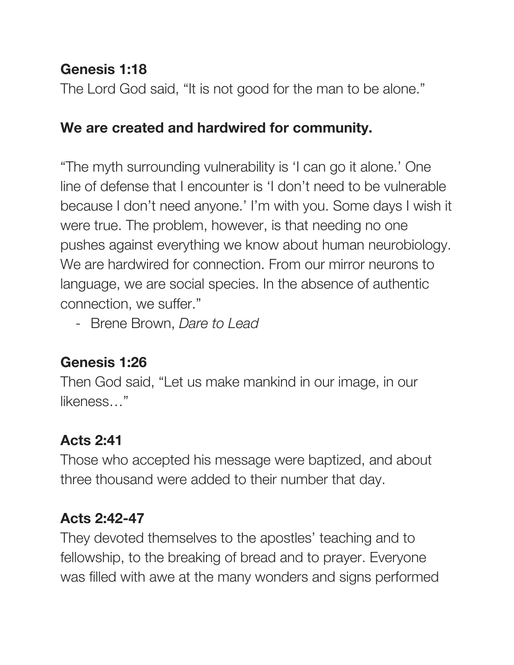## **Genesis 1:18**

The Lord God said, "It is not good for the man to be alone."

### **We are created and hardwired for community.**

"The myth surrounding vulnerability is 'I can go it alone.' One line of defense that I encounter is 'I don't need to be vulnerable because I don't need anyone.' I'm with you. Some days I wish it were true. The problem, however, is that needing no one pushes against everything we know about human neurobiology. We are hardwired for connection. From our mirror neurons to language, we are social species. In the absence of authentic connection, we suffer."

- Brene Brown, *Dare to Lead*

### **Genesis 1:26**

Then God said, "Let us make mankind in our image, in our likeness…"

# **Acts 2:41**

Those who accepted his message were baptized, and about three thousand were added to their number that day.

### **Acts 2:42-47**

They devoted themselves to the apostles' teaching and to fellowship, to the breaking of bread and to prayer. Everyone was filled with awe at the many wonders and signs performed